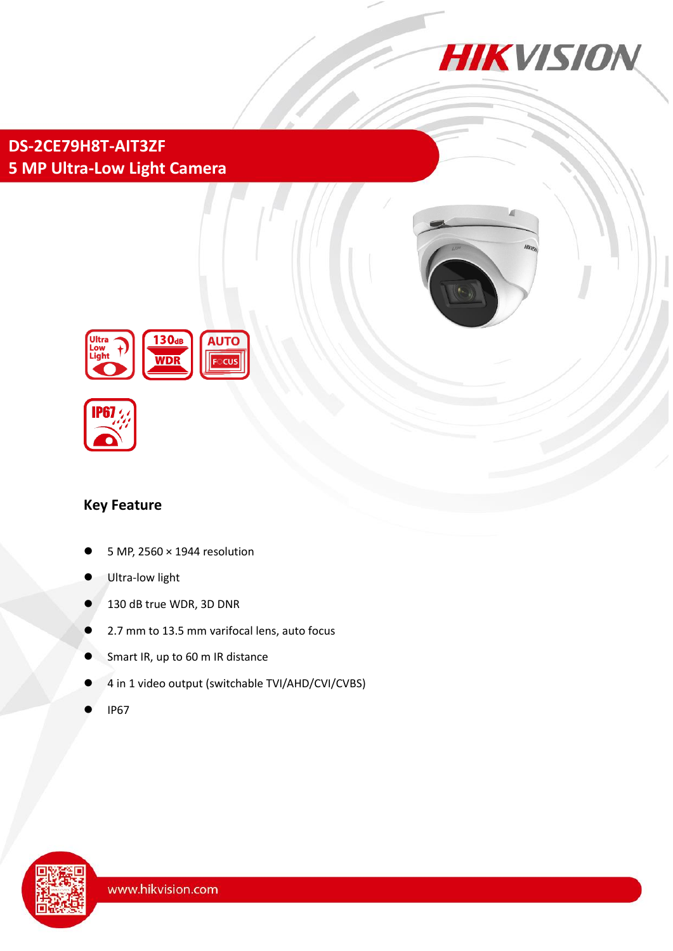

# **DS-2CE79H8T-AIT3ZF 5 MP Ultra-Low Light Camera**





### **Key Feature**

- 5 MP, 2560 × 1944 resolution
- Ultra-low light
- 130 dB true WDR, 3D DNR
- 2.7 mm to 13.5 mm varifocal lens, auto focus
- Smart IR, up to 60 m IR distance
- 4 in 1 video output (switchable TVI/AHD/CVI/CVBS)
- IP67

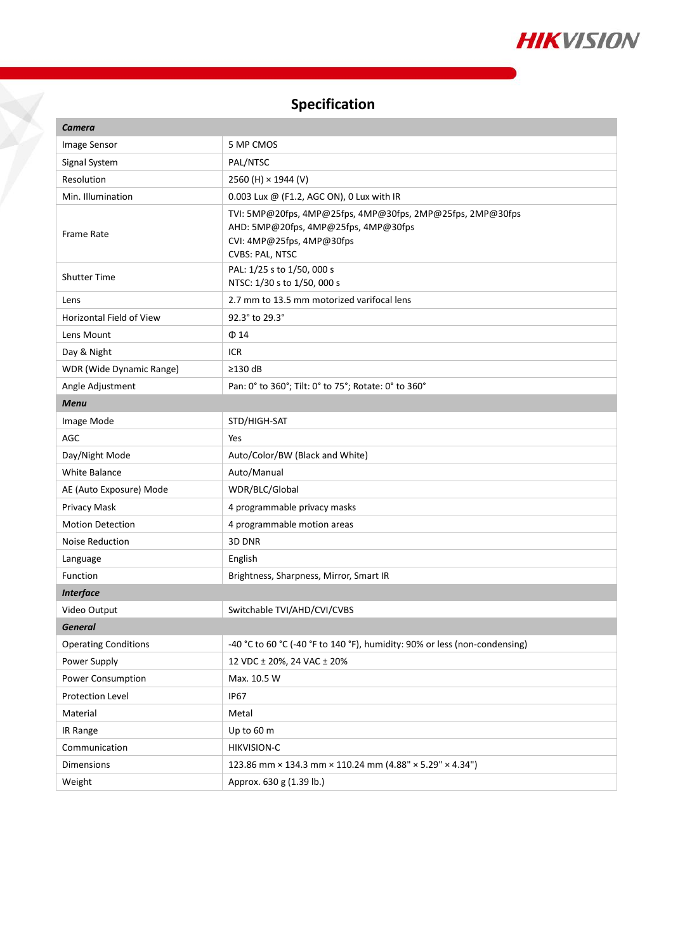

# **Specification**

 $\check{\mathbf{X}}$ 

| <b>Camera</b>               |                                                                                                                                                    |
|-----------------------------|----------------------------------------------------------------------------------------------------------------------------------------------------|
| Image Sensor                | 5 MP CMOS                                                                                                                                          |
| Signal System               | PAL/NTSC                                                                                                                                           |
| Resolution                  | 2560 (H) × 1944 (V)                                                                                                                                |
| Min. Illumination           | 0.003 Lux @ (F1.2, AGC ON), 0 Lux with IR                                                                                                          |
| <b>Frame Rate</b>           | TVI: 5MP@20fps, 4MP@25fps, 4MP@30fps, 2MP@25fps, 2MP@30fps<br>AHD: 5MP@20fps, 4MP@25fps, 4MP@30fps<br>CVI: 4MP@25fps, 4MP@30fps<br>CVBS: PAL, NTSC |
| <b>Shutter Time</b>         | PAL: 1/25 s to 1/50, 000 s<br>NTSC: 1/30 s to 1/50, 000 s                                                                                          |
| Lens                        | 2.7 mm to 13.5 mm motorized varifocal lens                                                                                                         |
| Horizontal Field of View    | 92.3° to 29.3°                                                                                                                                     |
| Lens Mount                  | $\Phi$ 14                                                                                                                                          |
| Day & Night                 | ICR                                                                                                                                                |
| WDR (Wide Dynamic Range)    | $\geq$ 130 dB                                                                                                                                      |
| Angle Adjustment            | Pan: 0° to 360°; Tilt: 0° to 75°; Rotate: 0° to 360°                                                                                               |
| <b>Menu</b>                 |                                                                                                                                                    |
| Image Mode                  | STD/HIGH-SAT                                                                                                                                       |
| <b>AGC</b>                  | Yes                                                                                                                                                |
| Day/Night Mode              | Auto/Color/BW (Black and White)                                                                                                                    |
| <b>White Balance</b>        | Auto/Manual                                                                                                                                        |
| AE (Auto Exposure) Mode     | WDR/BLC/Global                                                                                                                                     |
| Privacy Mask                | 4 programmable privacy masks                                                                                                                       |
| <b>Motion Detection</b>     | 4 programmable motion areas                                                                                                                        |
| Noise Reduction             | 3D DNR                                                                                                                                             |
| Language                    | English                                                                                                                                            |
| Function                    | Brightness, Sharpness, Mirror, Smart IR                                                                                                            |
| <b>Interface</b>            |                                                                                                                                                    |
| Video Output                | Switchable TVI/AHD/CVI/CVBS                                                                                                                        |
| <b>General</b>              |                                                                                                                                                    |
| <b>Operating Conditions</b> | -40 °C to 60 °C (-40 °F to 140 °F), humidity: 90% or less (non-condensing)                                                                         |
| Power Supply                | 12 VDC ± 20%, 24 VAC ± 20%                                                                                                                         |
| Power Consumption           | Max. 10.5 W                                                                                                                                        |
| Protection Level            | <b>IP67</b>                                                                                                                                        |
| Material                    | Metal                                                                                                                                              |
| IR Range                    | Up to 60 m                                                                                                                                         |
| Communication               | HIKVISION-C                                                                                                                                        |
| Dimensions                  | 123.86 mm × 134.3 mm × 110.24 mm (4.88" × 5.29" × 4.34")                                                                                           |
| Weight                      | Approx. 630 g (1.39 lb.)                                                                                                                           |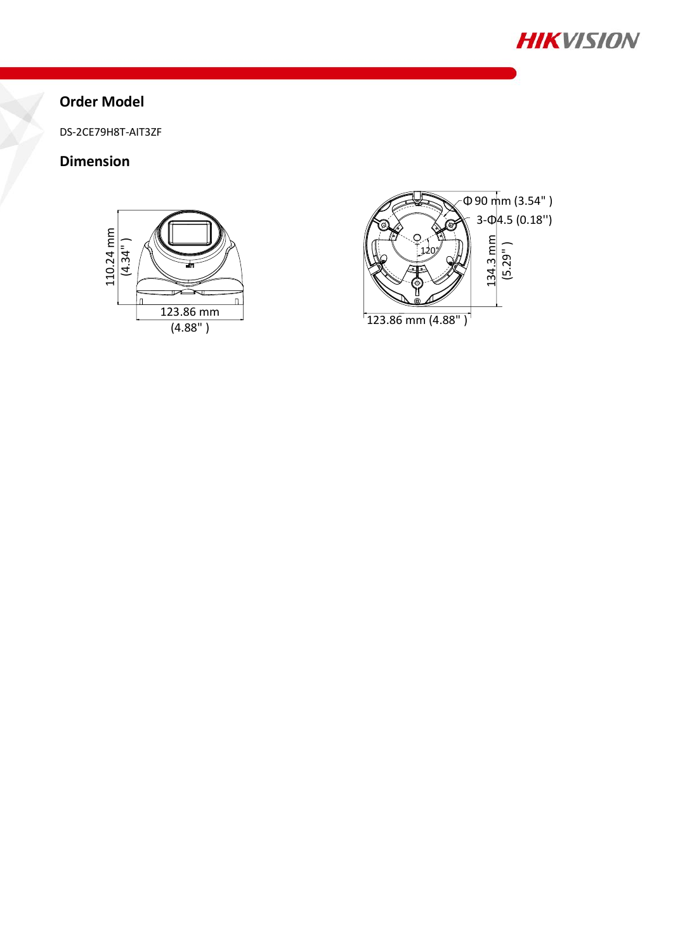

## **Order Model**

DS-2CE79H8T-AIT3ZF

### **Dimension**